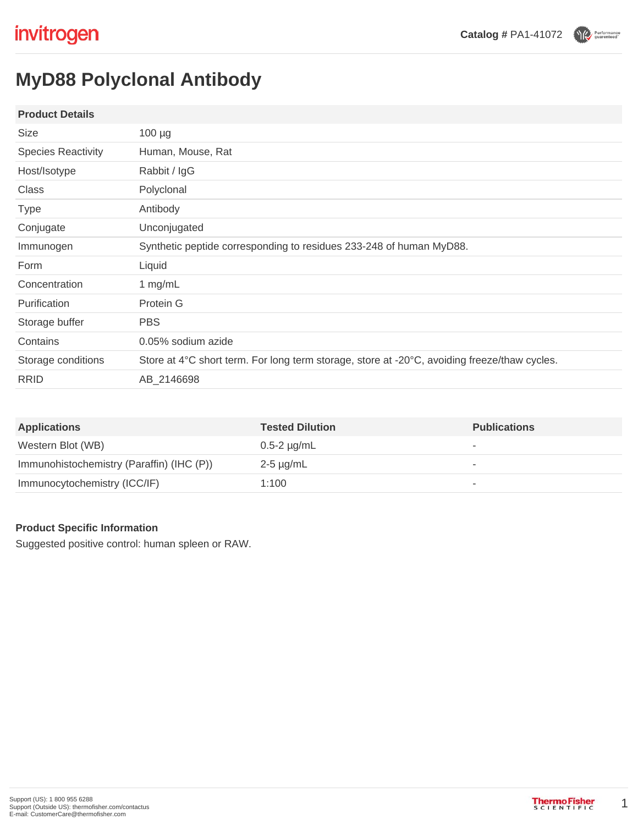Performance

# **MyD88 Polyclonal Antibody**

## **Product Details**

| Size                      | $100 \mu g$                                                                                  |  |
|---------------------------|----------------------------------------------------------------------------------------------|--|
| <b>Species Reactivity</b> | Human, Mouse, Rat                                                                            |  |
| Host/Isotype              | Rabbit / IgG                                                                                 |  |
| Class                     | Polyclonal                                                                                   |  |
| <b>Type</b>               | Antibody                                                                                     |  |
| Conjugate                 | Unconjugated                                                                                 |  |
| Immunogen                 | Synthetic peptide corresponding to residues 233-248 of human MyD88.                          |  |
| Form                      | Liquid                                                                                       |  |
| Concentration             | 1 mg/mL                                                                                      |  |
| <b>Purification</b>       | Protein G                                                                                    |  |
| Storage buffer            | <b>PBS</b>                                                                                   |  |
| Contains                  | 0.05% sodium azide                                                                           |  |
| Storage conditions        | Store at 4°C short term. For long term storage, store at -20°C, avoiding freeze/thaw cycles. |  |
| <b>RRID</b>               | AB 2146698                                                                                   |  |

| <b>Applications</b>                       | <b>Tested Dilution</b> | <b>Publications</b>      |
|-------------------------------------------|------------------------|--------------------------|
| Western Blot (WB)                         | $0.5-2 \mu g/mL$       | $\overline{\phantom{a}}$ |
| Immunohistochemistry (Paraffin) (IHC (P)) | 2-5 µg/mL              | $\overline{\phantom{a}}$ |
| Immunocytochemistry (ICC/IF)              | 1:100                  | ٠                        |

# **Product Specific Information**

Suggested positive control: human spleen or RAW.

1